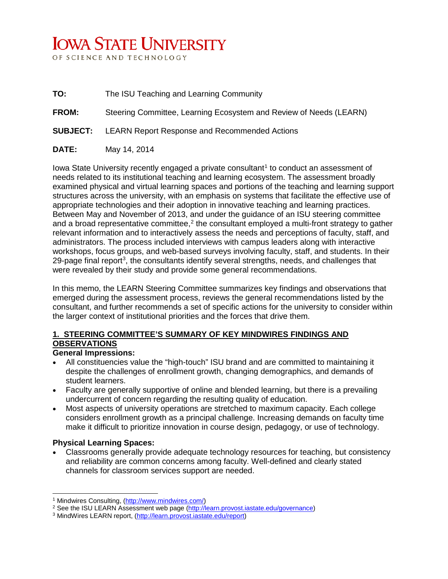# **IOWA STATE UNIVERSITY**

OF SCIENCE AND TECHNOLOGY

- **TO:** The ISU Teaching and Learning Community
- **FROM:** Steering Committee, Learning Ecosystem and Review of Needs (LEARN)
- **SUBJECT:** LEARN Report Response and Recommended Actions
- **DATE:** May 14, 2014

Iowa State University recently engaged a private consultant<sup>[1](#page-0-0)</sup> to conduct an assessment of needs related to its institutional teaching and learning ecosystem. The assessment broadly examined physical and virtual learning spaces and portions of the teaching and learning support structures across the university, with an emphasis on systems that facilitate the effective use of appropriate technologies and their adoption in innovative teaching and learning practices. Between May and November of 2013, and under the guidance of an ISU steering committee and a broad representative committee,<sup>[2](#page-0-1)</sup> the consultant employed a multi-front strategy to gather relevant information and to interactively assess the needs and perceptions of faculty, staff, and administrators. The process included interviews with campus leaders along with interactive workshops, focus groups, and web-based surveys involving faculty, staff, and students. In their 29-page final report<sup>[3](#page-0-2)</sup>, the consultants identify several strengths, needs, and challenges that were revealed by their study and provide some general recommendations.

In this memo, the LEARN Steering Committee summarizes key findings and observations that emerged during the assessment process, reviews the general recommendations listed by the consultant, and further recommends a set of specific actions for the university to consider within the larger context of institutional priorities and the forces that drive them.

### **1. STEERING COMMITTEE'S SUMMARY OF KEY MINDWIRES FINDINGS AND OBSERVATIONS**

#### **General Impressions:**

- All constituencies value the "high-touch" ISU brand and are committed to maintaining it despite the challenges of enrollment growth, changing demographics, and demands of student learners.
- Faculty are generally supportive of online and blended learning, but there is a prevailing undercurrent of concern regarding the resulting quality of education.
- Most aspects of university operations are stretched to maximum capacity. Each college considers enrollment growth as a principal challenge. Increasing demands on faculty time make it difficult to prioritize innovation in course design, pedagogy, or use of technology.

#### **Physical Learning Spaces:**

 $\overline{a}$ 

• Classrooms generally provide adequate technology resources for teaching, but consistency and reliability are common concerns among faculty. Well-defined and clearly stated channels for classroom services support are needed.

<sup>1</sup> Mindwires Consulting, [\(http://www.mindwires.com/\)](http://www.mindwires.com/)

<span id="page-0-1"></span><span id="page-0-0"></span><sup>&</sup>lt;sup>2</sup> See the ISU LEARN Assessment web page [\(http://learn.provost.iastate.edu/governance\)](http://learn.provost.iastate.edu/governance)

<span id="page-0-2"></span><sup>3</sup> MindWires LEARN report, [\(http://learn.provost.iastate.edu/report\)](http://learn.provost.iastate.edu/report)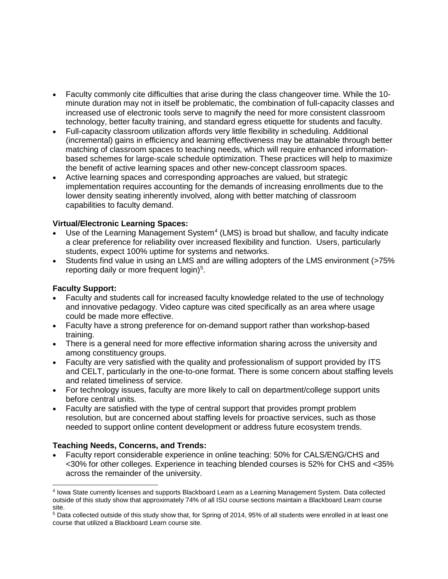- Faculty commonly cite difficulties that arise during the class changeover time. While the 10 minute duration may not in itself be problematic, the combination of full-capacity classes and increased use of electronic tools serve to magnify the need for more consistent classroom technology, better faculty training, and standard egress etiquette for students and faculty.
- Full-capacity classroom utilization affords very little flexibility in scheduling. Additional (incremental) gains in efficiency and learning effectiveness may be attainable through better matching of classroom spaces to teaching needs, which will require enhanced informationbased schemes for large-scale schedule optimization. These practices will help to maximize the benefit of active learning spaces and other new-concept classroom spaces.
- Active learning spaces and corresponding approaches are valued, but strategic implementation requires accounting for the demands of increasing enrollments due to the lower density seating inherently involved, along with better matching of classroom capabilities to faculty demand.

#### **Virtual/Electronic Learning Spaces:**

- Use of the Learning Management System<sup>[4](#page-1-0)</sup> (LMS) is broad but shallow, and faculty indicate a clear preference for reliability over increased flexibility and function. Users, particularly students, expect 100% uptime for systems and networks.
- Students find value in using an LMS and are willing adopters of the LMS environment (>75%) reporting daily or more frequent  $login)^5$  $login)^5$ .

#### **Faculty Support:**

- Faculty and students call for increased faculty knowledge related to the use of technology and innovative pedagogy. Video capture was cited specifically as an area where usage could be made more effective.
- Faculty have a strong preference for on-demand support rather than workshop-based training.
- There is a general need for more effective information sharing across the university and among constituency groups.
- Faculty are very satisfied with the quality and professionalism of support provided by ITS and CELT, particularly in the one-to-one format. There is some concern about staffing levels and related timeliness of service.
- For technology issues, faculty are more likely to call on department/college support units before central units.
- Faculty are satisfied with the type of central support that provides prompt problem resolution, but are concerned about staffing levels for proactive services, such as those needed to support online content development or address future ecosystem trends.

#### **Teaching Needs, Concerns, and Trends:**

• Faculty report considerable experience in online teaching: 50% for CALS/ENG/CHS and <30% for other colleges. Experience in teaching blended courses is 52% for CHS and <35% across the remainder of the university.

<span id="page-1-0"></span><sup>4</sup> Iowa State currently licenses and supports Blackboard Learn as a Learning Management System. Data collected outside of this study show that approximately 74% of all ISU course sections maintain a Blackboard Learn course site.  $\overline{a}$ 

<span id="page-1-1"></span><sup>5</sup> Data collected outside of this study show that, for Spring of 2014, 95% of all students were enrolled in at least one course that utilized a Blackboard Learn course site.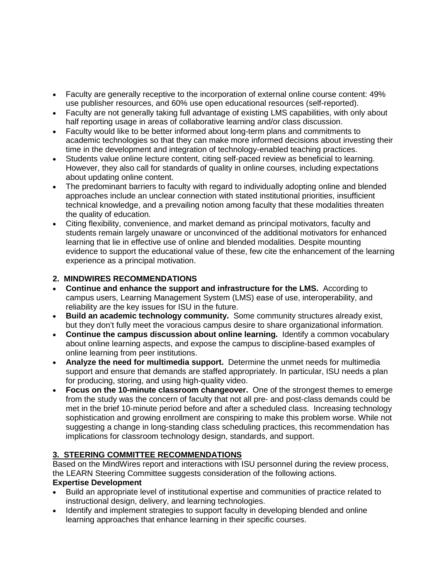- Faculty are generally receptive to the incorporation of external online course content: 49% use publisher resources, and 60% use open educational resources (self-reported).
- Faculty are not generally taking full advantage of existing LMS capabilities, with only about half reporting usage in areas of collaborative learning and/or class discussion.
- Faculty would like to be better informed about long-term plans and commitments to academic technologies so that they can make more informed decisions about investing their time in the development and integration of technology-enabled teaching practices.
- Students value online lecture content, citing self-paced review as beneficial to learning. However, they also call for standards of quality in online courses, including expectations about updating online content.
- The predominant barriers to faculty with regard to individually adopting online and blended approaches include an unclear connection with stated institutional priorities, insufficient technical knowledge, and a prevailing notion among faculty that these modalities threaten the quality of education.
- Citing flexibility, convenience, and market demand as principal motivators, faculty and students remain largely unaware or unconvinced of the additional motivators for enhanced learning that lie in effective use of online and blended modalities. Despite mounting evidence to support the educational value of these, few cite the enhancement of the learning experience as a principal motivation.

## **2. MINDWIRES RECOMMENDATIONS**

- **Continue and enhance the support and infrastructure for the LMS.** According to campus users, Learning Management System (LMS) ease of use, interoperability, and reliability are the key issues for ISU in the future.
- **Build an academic technology community.** Some community structures already exist, but they don't fully meet the voracious campus desire to share organizational information.
- **Continue the campus discussion about online learning.** Identify a common vocabulary about online learning aspects, and expose the campus to discipline-based examples of online learning from peer institutions.
- **Analyze the need for multimedia support.** Determine the unmet needs for multimedia support and ensure that demands are staffed appropriately. In particular, ISU needs a plan for producing, storing, and using high-quality video.
- **Focus on the 10-minute classroom changeover.** One of the strongest themes to emerge from the study was the concern of faculty that not all pre- and post-class demands could be met in the brief 10-minute period before and after a scheduled class. Increasing technology sophistication and growing enrollment are conspiring to make this problem worse. While not suggesting a change in long-standing class scheduling practices, this recommendation has implications for classroom technology design, standards, and support.

# **3. STEERING COMMITTEE RECOMMENDATIONS**

Based on the MindWires report and interactions with ISU personnel during the review process, the LEARN Steering Committee suggests consideration of the following actions.

## **Expertise Development**

- Build an appropriate level of institutional expertise and communities of practice related to instructional design, delivery, and learning technologies.
- Identify and implement strategies to support faculty in developing blended and online learning approaches that enhance learning in their specific courses.